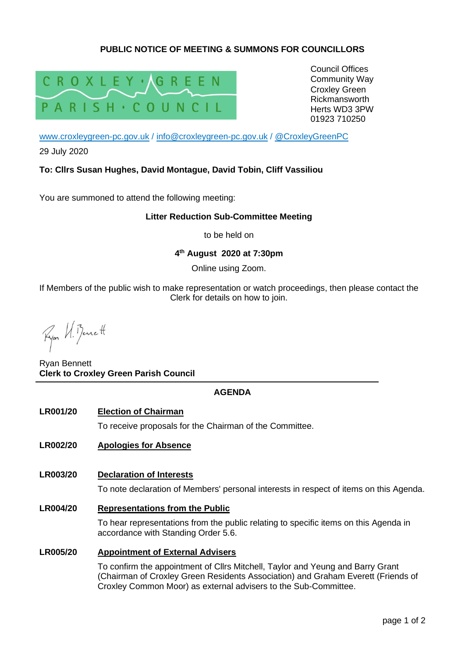# **PUBLIC NOTICE OF MEETING & SUMMONS FOR COUNCILLORS**



Council Offices Community Way Croxley Green Rickmansworth Herts WD3 3PW 01923 710250

[www.croxleygreen-pc.gov.uk](http://www.croxleygreen-pc.gov.uk/) / [info@croxleygreen-pc.gov.uk](mailto:info@croxleygreen-pc.gov.uk) / [@CroxleyGreenPC](https://twitter.com/CroxleyGreenPC)

29 July 2020

## **To: Cllrs Susan Hughes, David Montague, David Tobin, Cliff Vassiliou**

You are summoned to attend the following meeting:

### **Litter Reduction Sub-Committee Meeting**

to be held on

# **4 th August 2020 at 7:30pm**

Online using Zoom.

If Members of the public wish to make representation or watch proceedings, then please contact the Clerk for details on how to join.

Ryon VI. Benett

Ryan Bennett **Clerk to Croxley Green Parish Council**

## **AGENDA**

#### **LR001/20 Election of Chairman**

To receive proposals for the Chairman of the Committee.

## **LR002/20 Apologies for Absence**

# **LR003/20 Declaration of Interests**

To note declaration of Members' personal interests in respect of items on this Agenda.

#### **LR004/20 Representations from the Public**

To hear representations from the public relating to specific items on this Agenda in accordance with Standing Order 5.6.

#### **LR005/20 Appointment of External Advisers**

To confirm the appointment of Cllrs Mitchell, Taylor and Yeung and Barry Grant (Chairman of Croxley Green Residents Association) and Graham Everett (Friends of Croxley Common Moor) as external advisers to the Sub-Committee.